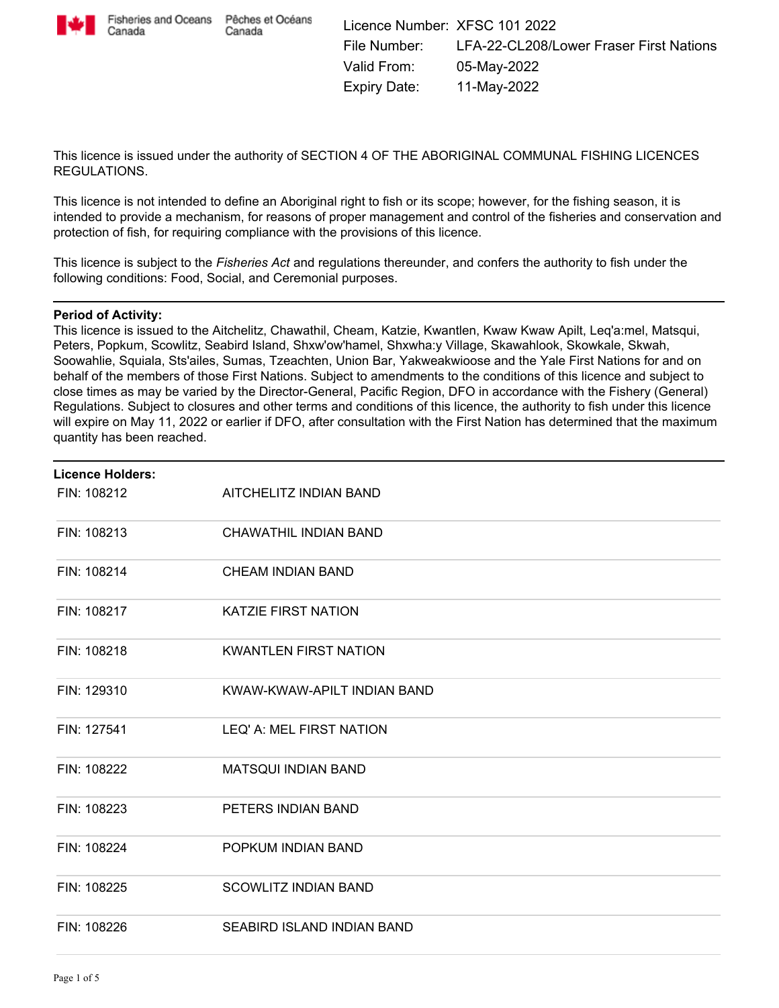

Canada

This licence is issued under the authority of SECTION 4 OF THE ABORIGINAL COMMUNAL FISHING LICENCES REGULATIONS.

This licence is not intended to define an Aboriginal right to fish or its scope; however, for the fishing season, it is intended to provide a mechanism, for reasons of proper management and control of the fisheries and conservation and protection of fish, for requiring compliance with the provisions of this licence.

This licence is subject to the *Fisheries Act* and regulations thereunder, and confers the authority to fish under the following conditions: Food, Social, and Ceremonial purposes.

#### **Period of Activity:**

This licence is issued to the Aitchelitz, Chawathil, Cheam, Katzie, Kwantlen, Kwaw Kwaw Apilt, Leq'a:mel, Matsqui, Peters, Popkum, Scowlitz, Seabird Island, Shxw'ow'hamel, Shxwha:y Village, Skawahlook, Skowkale, Skwah, Soowahlie, Squiala, Sts'ailes, Sumas, Tzeachten, Union Bar, Yakweakwioose and the Yale First Nations for and on behalf of the members of those First Nations. Subject to amendments to the conditions of this licence and subject to close times as may be varied by the Director-General, Pacific Region, DFO in accordance with the Fishery (General) Regulations. Subject to closures and other terms and conditions of this licence, the authority to fish under this licence will expire on May 11, 2022 or earlier if DFO, after consultation with the First Nation has determined that the maximum quantity has been reached.

| <b>Licence Holders:</b> |                              |  |
|-------------------------|------------------------------|--|
| FIN: 108212             | AITCHELITZ INDIAN BAND       |  |
| FIN: 108213             | CHAWATHIL INDIAN BAND        |  |
| FIN: 108214             | <b>CHEAM INDIAN BAND</b>     |  |
| FIN: 108217             | <b>KATZIE FIRST NATION</b>   |  |
| FIN: 108218             | <b>KWANTLEN FIRST NATION</b> |  |
| FIN: 129310             | KWAW-KWAW-APILT INDIAN BAND  |  |
| FIN: 127541             | LEQ' A: MEL FIRST NATION     |  |
| FIN: 108222             | <b>MATSQUI INDIAN BAND</b>   |  |
| FIN: 108223             | PETERS INDIAN BAND           |  |
| FIN: 108224             | POPKUM INDIAN BAND           |  |
| FIN: 108225             | <b>SCOWLITZ INDIAN BAND</b>  |  |
| FIN: 108226             | SEABIRD ISLAND INDIAN BAND   |  |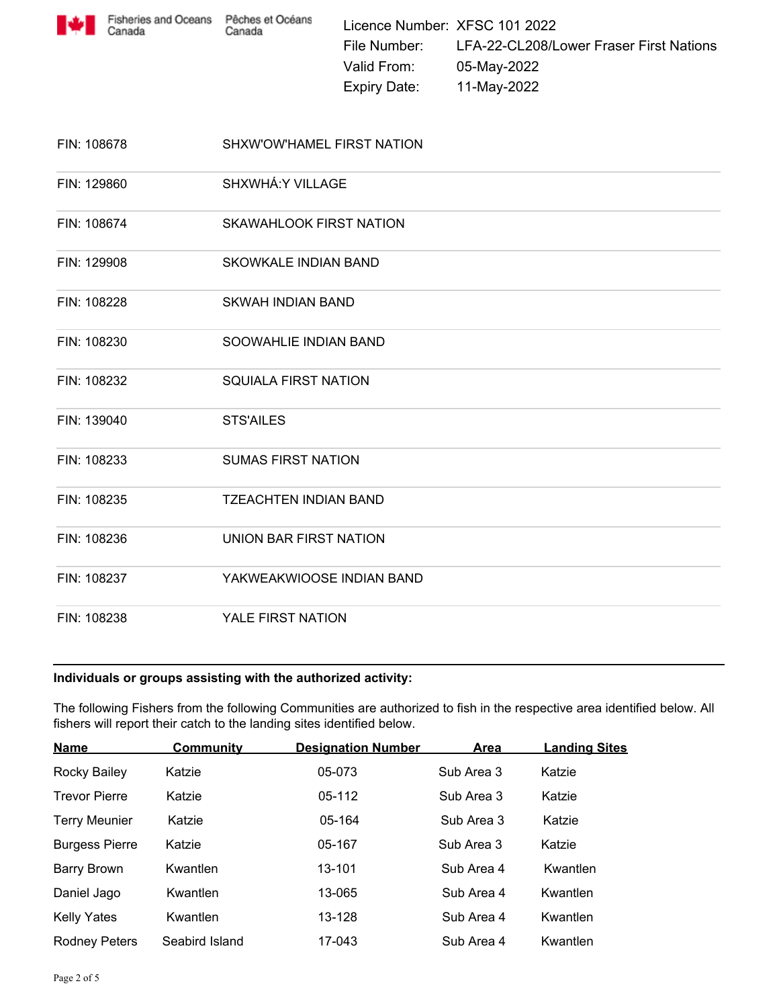

| FIN: 108678 | SHXW'OW'HAMEL FIRST NATION   |
|-------------|------------------------------|
| FIN: 129860 | SHXWHÁ: Y VILLAGE            |
| FIN: 108674 | SKAWAHLOOK FIRST NATION      |
| FIN: 129908 | <b>SKOWKALE INDIAN BAND</b>  |
| FIN: 108228 | <b>SKWAH INDIAN BAND</b>     |
| FIN: 108230 | SOOWAHLIE INDIAN BAND        |
| FIN: 108232 | <b>SQUIALA FIRST NATION</b>  |
| FIN: 139040 | <b>STS'AILES</b>             |
| FIN: 108233 | <b>SUMAS FIRST NATION</b>    |
| FIN: 108235 | <b>TZEACHTEN INDIAN BAND</b> |
| FIN: 108236 | UNION BAR FIRST NATION       |
| FIN: 108237 | YAKWEAKWIOOSE INDIAN BAND    |
| FIN: 108238 | YALE FIRST NATION            |

## **Individuals or groups assisting with the authorized activity:**

The following Fishers from the following Communities are authorized to fish in the respective area identified below. All fishers will report their catch to the landing sites identified below.

| <b>Name</b>           | <b>Community</b> | <b>Designation Number</b> | <b>Area</b> | <b>Landing Sites</b> |
|-----------------------|------------------|---------------------------|-------------|----------------------|
| Rocky Bailey          | Katzie           | 05-073                    | Sub Area 3  | Katzie               |
| <b>Trevor Pierre</b>  | Katzie           | 05-112                    | Sub Area 3  | Katzie               |
| <b>Terry Meunier</b>  | Katzie           | 05-164                    | Sub Area 3  | Katzie               |
| <b>Burgess Pierre</b> | Katzie           | 05-167                    | Sub Area 3  | Katzie               |
| <b>Barry Brown</b>    | Kwantlen         | 13-101                    | Sub Area 4  | Kwantlen             |
| Daniel Jago           | Kwantlen         | 13-065                    | Sub Area 4  | Kwantlen             |
| <b>Kelly Yates</b>    | Kwantlen         | 13-128                    | Sub Area 4  | Kwantlen             |
| <b>Rodney Peters</b>  | Seabird Island   | 17-043                    | Sub Area 4  | Kwantlen             |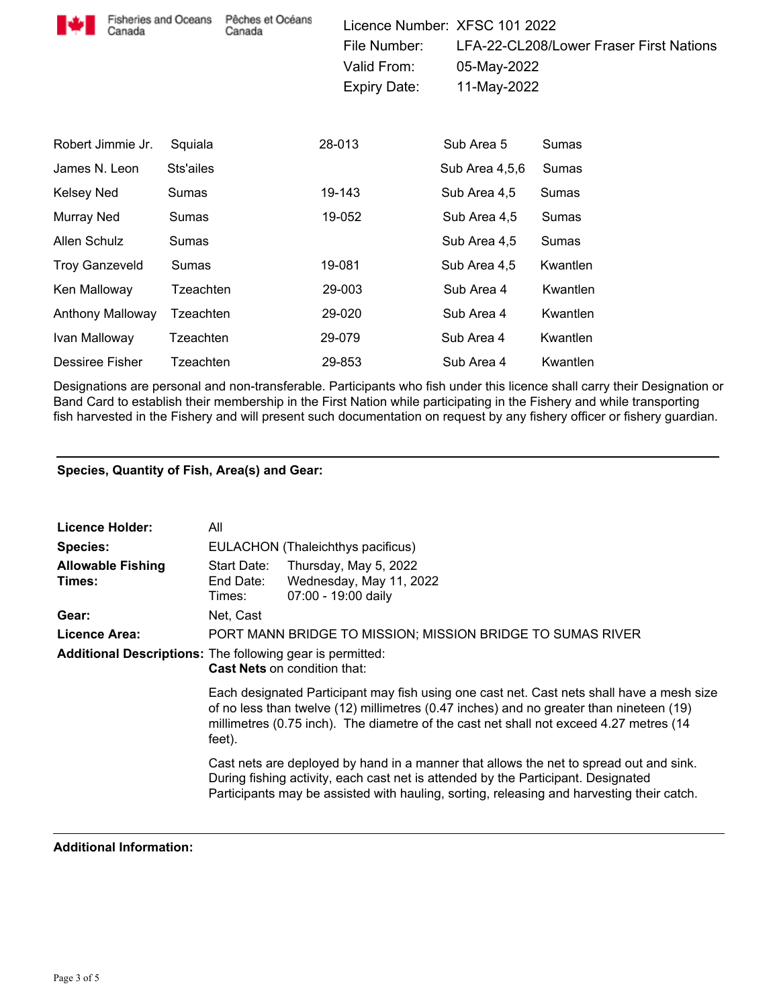| <b>Fisheries and Oceans</b><br>Canada |           | Pêches et Océans<br>Canada |        | Licence Number: XFSC 101 2022<br>File Number:<br>Valid From:<br><b>Expiry Date:</b> | 05-May-2022<br>11-May-2022 | LFA-22-CL208/Lower Fraser First Nations |
|---------------------------------------|-----------|----------------------------|--------|-------------------------------------------------------------------------------------|----------------------------|-----------------------------------------|
| Robert Jimmie Jr.                     | Squiala   |                            | 28-013 |                                                                                     | Sub Area 5                 | Sumas                                   |
| James N. Leon                         | Sts'ailes |                            |        |                                                                                     | Sub Area 4,5,6             | Sumas                                   |
| Kelsey Ned                            | Sumas     |                            |        | 19-143                                                                              | Sub Area 4,5               | Sumas                                   |
| Murray Ned                            | Sumas     |                            |        | 19-052                                                                              | Sub Area 4,5               | Sumas                                   |
| Allen Schulz                          | Sumas     |                            |        |                                                                                     | Sub Area 4,5               | Sumas                                   |
| <b>Troy Ganzeveld</b>                 | Sumas     |                            |        | 19-081                                                                              | Sub Area 4,5               | Kwantlen                                |
| Ken Malloway                          | Tzeachten |                            |        | 29-003                                                                              | Sub Area 4                 | Kwantlen                                |
| Anthony Malloway                      | Tzeachten |                            |        | 29-020                                                                              | Sub Area 4                 | Kwantlen                                |
| Ivan Malloway                         | Tzeachten |                            |        | 29-079                                                                              | Sub Area 4                 | Kwantlen                                |
| Dessiree Fisher                       | Tzeachten |                            |        | 29-853                                                                              | Sub Area 4                 | Kwantlen                                |

Designations are personal and non-transferable. Participants who fish under this licence shall carry their Designation or Band Card to establish their membership in the First Nation while participating in the Fishery and while transporting fish harvested in the Fishery and will present such documentation on request by any fishery officer or fishery guardian.

# **Species, Quantity of Fish, Area(s) and Gear:**

| <b>Licence Holder:</b>             | All                                                                                                                                                                                                                                                                                      |                                                                         |  |  |  |  |  |
|------------------------------------|------------------------------------------------------------------------------------------------------------------------------------------------------------------------------------------------------------------------------------------------------------------------------------------|-------------------------------------------------------------------------|--|--|--|--|--|
| <b>Species:</b>                    | EULACHON (Thaleichthys pacificus)                                                                                                                                                                                                                                                        |                                                                         |  |  |  |  |  |
| <b>Allowable Fishing</b><br>Times: | Start Date:<br>End Date:<br>Times:                                                                                                                                                                                                                                                       | Thursday, May 5, 2022<br>Wednesday, May 11, 2022<br>07:00 - 19:00 daily |  |  |  |  |  |
| Gear:                              | Net, Cast                                                                                                                                                                                                                                                                                |                                                                         |  |  |  |  |  |
| Licence Area:                      | PORT MANN BRIDGE TO MISSION; MISSION BRIDGE TO SUMAS RIVER                                                                                                                                                                                                                               |                                                                         |  |  |  |  |  |
|                                    | <b>Additional Descriptions:</b> The following gear is permitted:<br><b>Cast Nets on condition that:</b>                                                                                                                                                                                  |                                                                         |  |  |  |  |  |
|                                    | Each designated Participant may fish using one cast net. Cast nets shall have a mesh size<br>of no less than twelve (12) millimetres (0.47 inches) and no greater than nineteen (19)<br>millimetres (0.75 inch). The diametre of the cast net shall not exceed 4.27 metres (14<br>feet). |                                                                         |  |  |  |  |  |
|                                    | Cast nets are deployed by hand in a manner that allows the net to spread out and sink.<br>During fishing activity, each cast net is attended by the Participant. Designated<br>Participants may be assisted with hauling, sorting, releasing and harvesting their catch.                 |                                                                         |  |  |  |  |  |

#### **Additional Information:**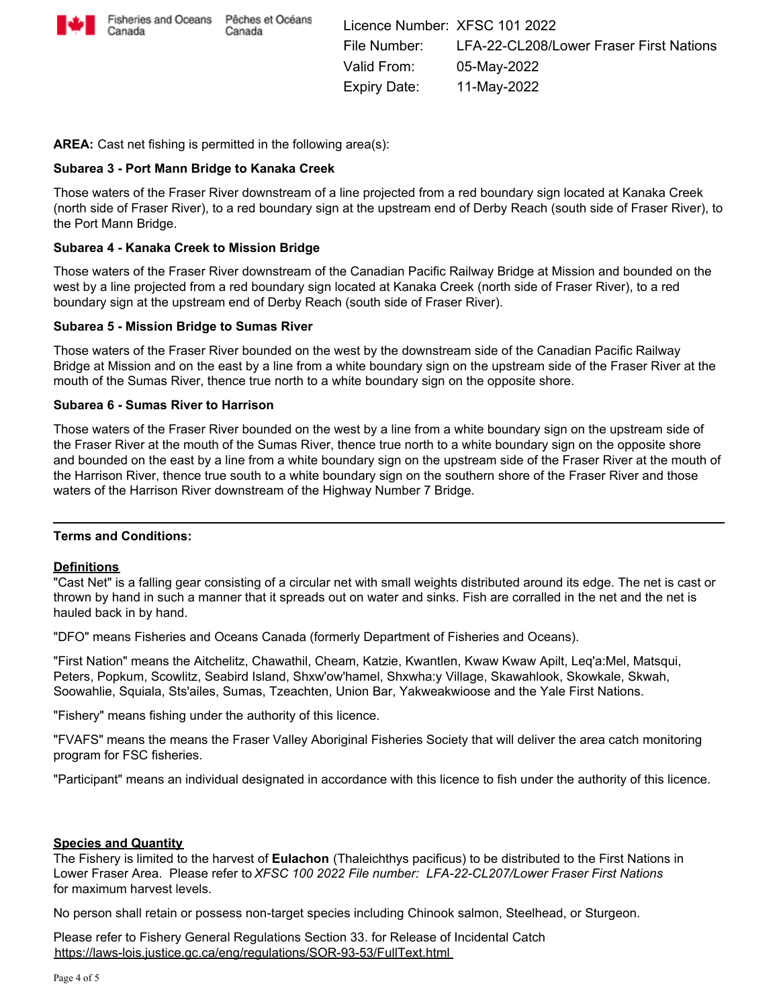

**AREA:** Cast net fishing is permitted in the following area(s):

### **Subarea 3 - Port Mann Bridge to Kanaka Creek**

Those waters of the Fraser River downstream of a line projected from a red boundary sign located at Kanaka Creek (north side of Fraser River), to a red boundary sign at the upstream end of Derby Reach (south side of Fraser River), to the Port Mann Bridge.

### **Subarea 4 - Kanaka Creek to Mission Bridge**

Those waters of the Fraser River downstream of the Canadian Pacific Railway Bridge at Mission and bounded on the west by a line projected from a red boundary sign located at Kanaka Creek (north side of Fraser River), to a red boundary sign at the upstream end of Derby Reach (south side of Fraser River).

#### **Subarea 5 - Mission Bridge to Sumas River**

Those waters of the Fraser River bounded on the west by the downstream side of the Canadian Pacific Railway Bridge at Mission and on the east by a line from a white boundary sign on the upstream side of the Fraser River at the mouth of the Sumas River, thence true north to a white boundary sign on the opposite shore.

#### **Subarea 6 - Sumas River to Harrison**

Those waters of the Fraser River bounded on the west by a line from a white boundary sign on the upstream side of the Fraser River at the mouth of the Sumas River, thence true north to a white boundary sign on the opposite shore and bounded on the east by a line from a white boundary sign on the upstream side of the Fraser River at the mouth of the Harrison River, thence true south to a white boundary sign on the southern shore of the Fraser River and those waters of the Harrison River downstream of the Highway Number 7 Bridge.

#### **Terms and Conditions:**

#### **Definitions**

"Cast Net" is a falling gear consisting of a circular net with small weights distributed around its edge. The net is cast or thrown by hand in such a manner that it spreads out on water and sinks. Fish are corralled in the net and the net is hauled back in by hand.

"DFO" means Fisheries and Oceans Canada (formerly Department of Fisheries and Oceans).

"First Nation" means the Aitchelitz, Chawathil, Cheam, Katzie, Kwantlen, Kwaw Kwaw Apilt, Leq'a:Mel, Matsqui, Peters, Popkum, Scowlitz, Seabird Island, Shxw'ow'hamel, Shxwha:y Village, Skawahlook, Skowkale, Skwah, Soowahlie, Squiala, Sts'ailes, Sumas, Tzeachten, Union Bar, Yakweakwioose and the Yale First Nations.

"Fishery" means fishing under the authority of this licence.

"FVAFS" means the means the Fraser Valley Aboriginal Fisheries Society that will deliver the area catch monitoring program for FSC fisheries.

"Participant" means an individual designated in accordance with this licence to fish under the authority of this licence.

#### **Species and Quantity**

The Fishery is limited to the harvest of **Eulachon** (Thaleichthys pacificus) to be distributed to the First Nations in Lower Fraser Area. Please refer to *XFSC 100 2022 File number: LFA-22-CL207/Lower Fraser First Nations* for maximum harvest levels.

No person shall retain or possess non-target species including Chinook salmon, Steelhead, or Sturgeon.

Please refer to Fishery General Regulations Section 33. for Release of Incidental Catch https://laws-lois.justice.gc.ca/eng/regulations/SOR-93-53/FullText.html